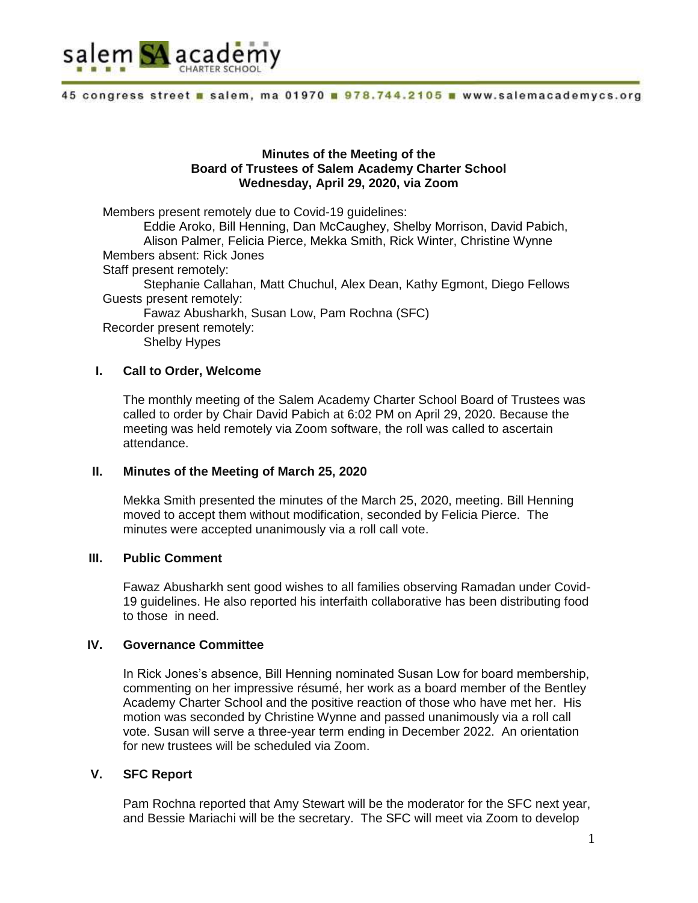

### **Minutes of the Meeting of the Board of Trustees of Salem Academy Charter School Wednesday, April 29, 2020, via Zoom**

Members present remotely due to Covid-19 guidelines: Eddie Aroko, Bill Henning, Dan McCaughey, Shelby Morrison, David Pabich, Alison Palmer, Felicia Pierce, Mekka Smith, Rick Winter, Christine Wynne Members absent: Rick Jones Staff present remotely: Stephanie Callahan, Matt Chuchul, Alex Dean, Kathy Egmont, Diego Fellows Guests present remotely: Fawaz Abusharkh, Susan Low, Pam Rochna (SFC) Recorder present remotely: Shelby Hypes

### **I. Call to Order, Welcome**

The monthly meeting of the Salem Academy Charter School Board of Trustees was called to order by Chair David Pabich at 6:02 PM on April 29, 2020. Because the meeting was held remotely via Zoom software, the roll was called to ascertain attendance.

### **II. Minutes of the Meeting of March 25, 2020**

Mekka Smith presented the minutes of the March 25, 2020, meeting. Bill Henning moved to accept them without modification, seconded by Felicia Pierce. The minutes were accepted unanimously via a roll call vote.

# **III. Public Comment**

Fawaz Abusharkh sent good wishes to all families observing Ramadan under Covid-19 guidelines. He also reported his interfaith collaborative has been distributing food to those in need.

### **IV. Governance Committee**

In Rick Jones's absence, Bill Henning nominated Susan Low for board membership, commenting on her impressive résumé, her work as a board member of the Bentley Academy Charter School and the positive reaction of those who have met her. His motion was seconded by Christine Wynne and passed unanimously via a roll call vote. Susan will serve a three-year term ending in December 2022. An orientation for new trustees will be scheduled via Zoom.

# **V. SFC Report**

Pam Rochna reported that Amy Stewart will be the moderator for the SFC next year, and Bessie Mariachi will be the secretary. The SFC will meet via Zoom to develop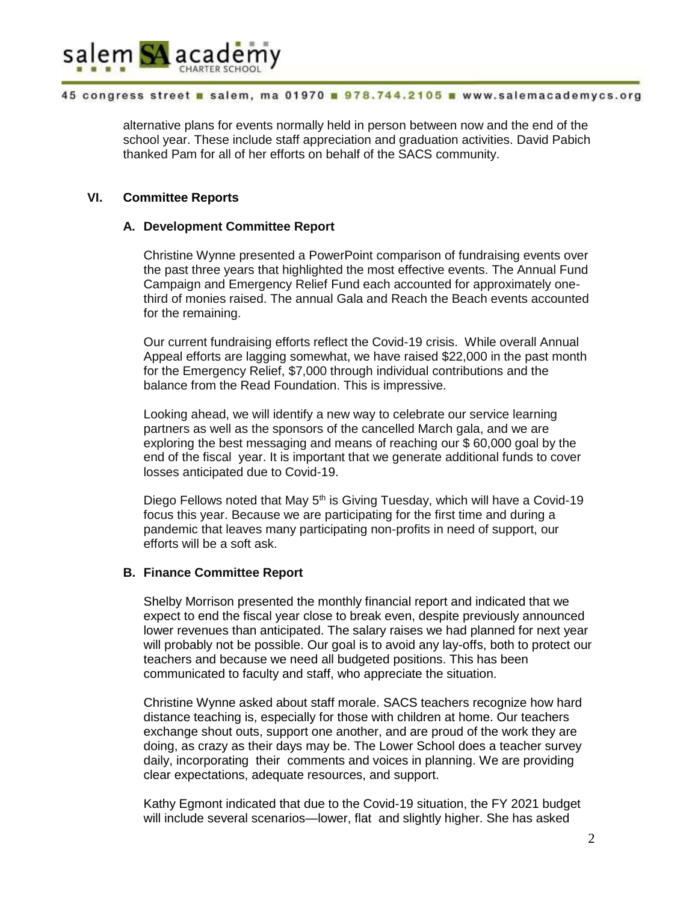

alternative plans for events normally held in person between now and the end of the school year. These include staff appreciation and graduation activities. David Pabich thanked Pam for all of her efforts on behalf of the SACS community.

# **VI. Committee Reports**

# **A. Development Committee Report**

Christine Wynne presented a PowerPoint comparison of fundraising events over the past three years that highlighted the most effective events. The Annual Fund Campaign and Emergency Relief Fund each accounted for approximately onethird of monies raised. The annual Gala and Reach the Beach events accounted for the remaining.

Our current fundraising efforts reflect the Covid-19 crisis. While overall Annual Appeal efforts are lagging somewhat, we have raised \$22,000 in the past month for the Emergency Relief, \$7,000 through individual contributions and the balance from the Read Foundation. This is impressive.

Looking ahead, we will identify a new way to celebrate our service learning partners as well as the sponsors of the cancelled March gala, and we are exploring the best messaging and means of reaching our \$ 60,000 goal by the end of the fiscal year. It is important that we generate additional funds to cover losses anticipated due to Covid-19.

Diego Fellows noted that May 5<sup>th</sup> is Giving Tuesday, which will have a Covid-19 focus this year. Because we are participating for the first time and during a pandemic that leaves many participating non-profits in need of support, our efforts will be a soft ask.

# **B. Finance Committee Report**

Shelby Morrison presented the monthly financial report and indicated that we expect to end the fiscal year close to break even, despite previously announced lower revenues than anticipated. The salary raises we had planned for next year will probably not be possible. Our goal is to avoid any lay-offs, both to protect our teachers and because we need all budgeted positions. This has been communicated to faculty and staff, who appreciate the situation.

Christine Wynne asked about staff morale. SACS teachers recognize how hard distance teaching is, especially for those with children at home. Our teachers exchange shout outs, support one another, and are proud of the work they are doing, as crazy as their days may be. The Lower School does a teacher survey daily, incorporating their comments and voices in planning. We are providing clear expectations, adequate resources, and support.

Kathy Egmont indicated that due to the Covid-19 situation, the FY 2021 budget will include several scenarios—lower, flat and slightly higher. She has asked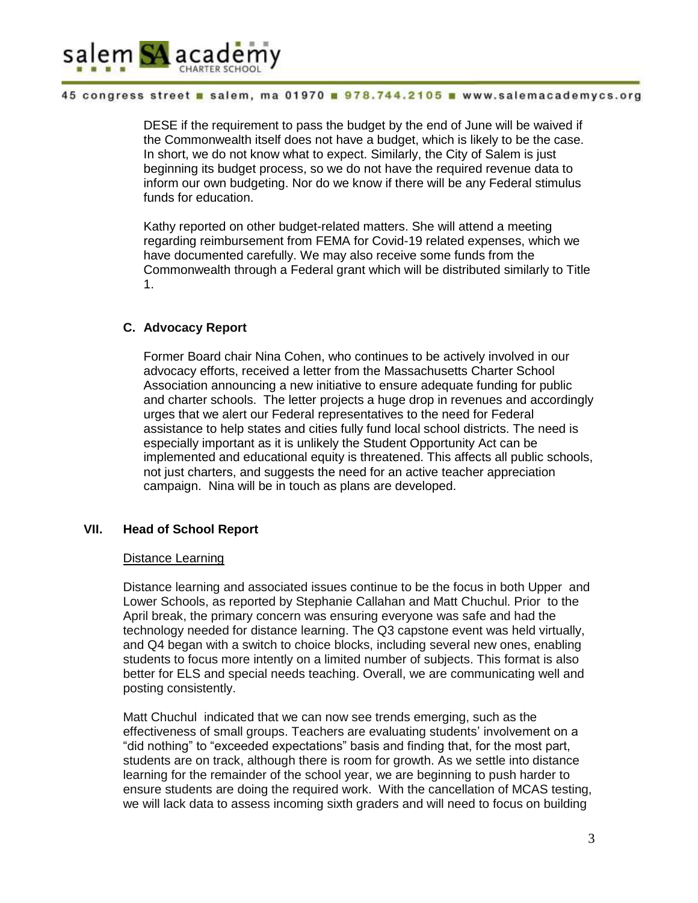

DESE if the requirement to pass the budget by the end of June will be waived if the Commonwealth itself does not have a budget, which is likely to be the case. In short, we do not know what to expect. Similarly, the City of Salem is just beginning its budget process, so we do not have the required revenue data to inform our own budgeting. Nor do we know if there will be any Federal stimulus funds for education.

Kathy reported on other budget-related matters. She will attend a meeting regarding reimbursement from FEMA for Covid-19 related expenses, which we have documented carefully. We may also receive some funds from the Commonwealth through a Federal grant which will be distributed similarly to Title 1.

# **C. Advocacy Report**

Former Board chair Nina Cohen, who continues to be actively involved in our advocacy efforts, received a letter from the Massachusetts Charter School Association announcing a new initiative to ensure adequate funding for public and charter schools. The letter projects a huge drop in revenues and accordingly urges that we alert our Federal representatives to the need for Federal assistance to help states and cities fully fund local school districts. The need is especially important as it is unlikely the Student Opportunity Act can be implemented and educational equity is threatened. This affects all public schools, not just charters, and suggests the need for an active teacher appreciation campaign. Nina will be in touch as plans are developed.

# **VII. Head of School Report**

# Distance Learning

Distance learning and associated issues continue to be the focus in both Upper and Lower Schools, as reported by Stephanie Callahan and Matt Chuchul. Prior to the April break, the primary concern was ensuring everyone was safe and had the technology needed for distance learning. The Q3 capstone event was held virtually, and Q4 began with a switch to choice blocks, including several new ones, enabling students to focus more intently on a limited number of subjects. This format is also better for ELS and special needs teaching. Overall, we are communicating well and posting consistently.

Matt Chuchul indicated that we can now see trends emerging, such as the effectiveness of small groups. Teachers are evaluating students' involvement on a "did nothing" to "exceeded expectations" basis and finding that, for the most part, students are on track, although there is room for growth. As we settle into distance learning for the remainder of the school year, we are beginning to push harder to ensure students are doing the required work. With the cancellation of MCAS testing, we will lack data to assess incoming sixth graders and will need to focus on building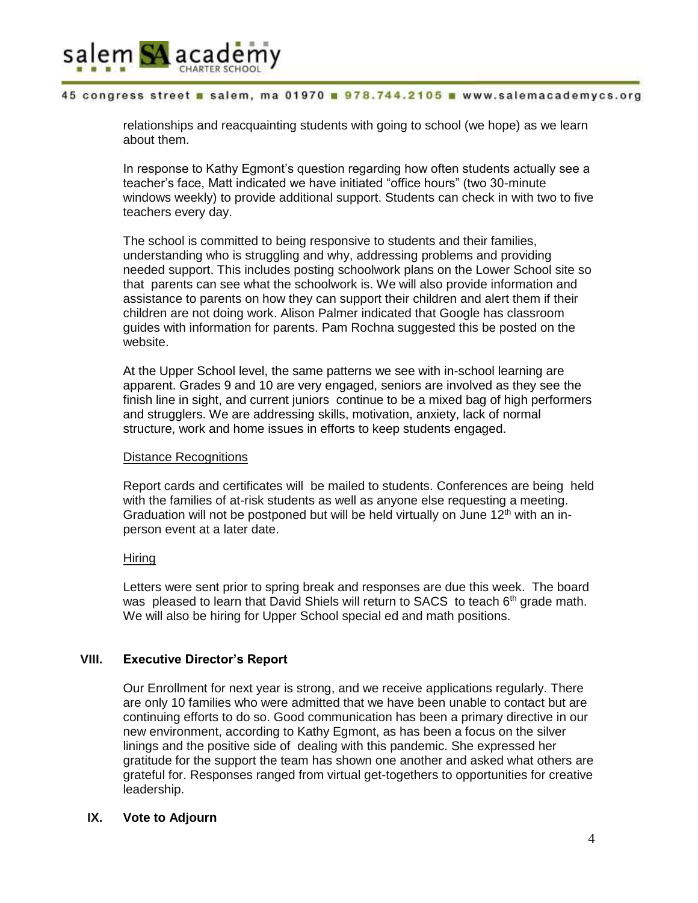

relationships and reacquainting students with going to school (we hope) as we learn about them.

In response to Kathy Egmont's question regarding how often students actually see a teacher's face, Matt indicated we have initiated "office hours" (two 30-minute windows weekly) to provide additional support. Students can check in with two to five teachers every day.

The school is committed to being responsive to students and their families, understanding who is struggling and why, addressing problems and providing needed support. This includes posting schoolwork plans on the Lower School site so that parents can see what the schoolwork is. We will also provide information and assistance to parents on how they can support their children and alert them if their children are not doing work. Alison Palmer indicated that Google has classroom guides with information for parents. Pam Rochna suggested this be posted on the website.

At the Upper School level, the same patterns we see with in-school learning are apparent. Grades 9 and 10 are very engaged, seniors are involved as they see the finish line in sight, and current juniors continue to be a mixed bag of high performers and strugglers. We are addressing skills, motivation, anxiety, lack of normal structure, work and home issues in efforts to keep students engaged.

#### Distance Recognitions

Report cards and certificates will be mailed to students. Conferences are being held with the families of at-risk students as well as anyone else requesting a meeting. Graduation will not be postponed but will be held virtually on June  $12<sup>th</sup>$  with an inperson event at a later date.

#### Hiring

Letters were sent prior to spring break and responses are due this week. The board was pleased to learn that David Shiels will return to SACS to teach  $6<sup>th</sup>$  grade math. We will also be hiring for Upper School special ed and math positions.

# **VIII. Executive Director's Report**

Our Enrollment for next year is strong, and we receive applications regularly. There are only 10 families who were admitted that we have been unable to contact but are continuing efforts to do so. Good communication has been a primary directive in our new environment, according to Kathy Egmont, as has been a focus on the silver linings and the positive side of dealing with this pandemic. She expressed her gratitude for the support the team has shown one another and asked what others are grateful for. Responses ranged from virtual get-togethers to opportunities for creative leadership.

# **IX. Vote to Adjourn**